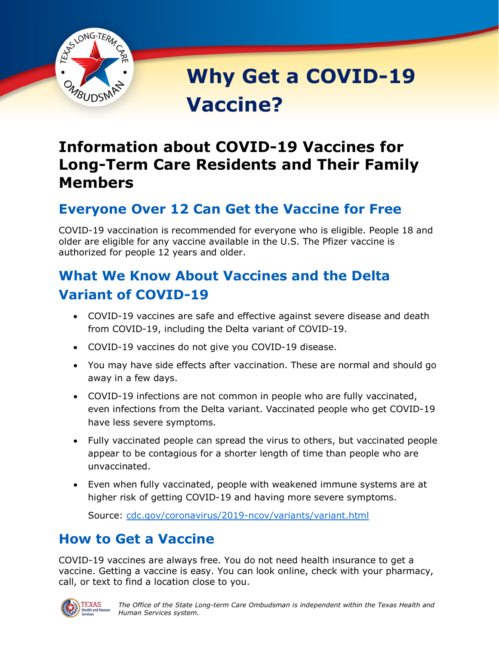

**Why Get a COVID-19 Vaccine?**

# **Information about COVID-19 Vaccines for Long-Term Care Residents and Their Family Members**

## **Everyone Over 12 Can Get the Vaccine for Free**

COVID-19 vaccination is recommended for everyone who is eligible. People 18 and older are eligible for any vaccine available in the U.S. The Pfizer vaccine is authorized for people 12 years and older.

# **What We Know About Vaccines and the Delta Variant of COVID-19**

- COVID-19 vaccines are safe and effective against severe disease and death from COVID-19, including the Delta variant of COVID-19.
- COVID-19 vaccines do not give you COVID-19 disease.
- You may have side effects after vaccination. These are normal and should go away in a few days.
- COVID-19 infections are not common in people who are fully vaccinated, even infections from the Delta variant. Vaccinated people who get COVID-19 have less severe symptoms.
- Fully vaccinated people can spread the virus to others, but vaccinated people appear to be contagious for a shorter length of time than people who are unvaccinated.
- Even when fully vaccinated, people with weakened immune systems are at higher risk of getting COVID-19 and having more severe symptoms.

Source: [cdc.gov/coronavirus/2019-ncov/variants/variant.html](https://www.cdc.gov/coronavirus/2019-ncov/variants/variant.html)

## **How to Get a Vaccine**

COVID-19 vaccines are always free. You do not need health insurance to get a vaccine. Getting a vaccine is easy. You can look online, check with your pharmacy, call, or text to find a location close to you.